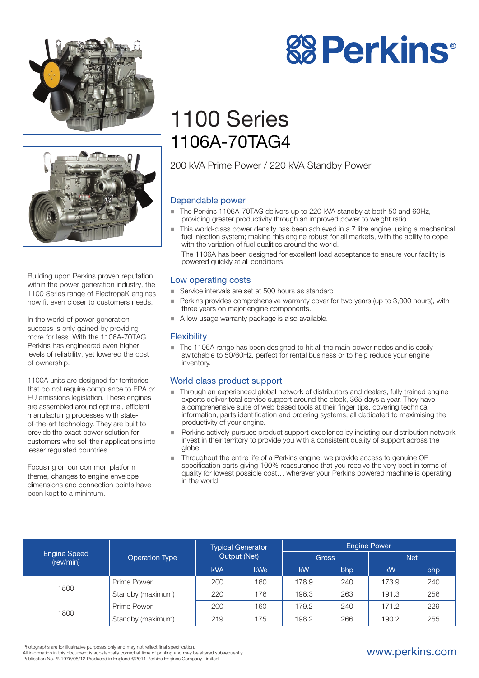



Building upon Perkins proven reputation within the power generation industry, the 1100 Series range of ElectropaK engines now fit even closer to customers needs.

In the world of power generation success is only gained by providing more for less. With the 1106A-70TAG Perkins has engineered even higher levels of reliability, yet lowered the cost of ownership.

1100A units are designed for territories that do not require compliance to EPA or EU emissions legislation. These engines are assembled around optimal, efficient manufactuing processes with stateof-the-art technology. They are built to provide the exact power solution for customers who sell their applications into lesser regulated countries.

Focusing on our common platform theme, changes to engine envelope dimensions and connection points have been kept to a minimum.

# 1100 Series 1106A-70TAG4

200 kVA Prime Power / 220 kVA Standby Power

### Dependable power

- The Perkins 1106A-70TAG delivers up to 220 kVA standby at both 50 and 60Hz, providing greater productivity through an improved power to weight ratio.
- n This world-class power density has been achieved in a 7 litre engine, using a mechanical fuel injection system; making this engine robust for all markets, with the ability to cope with the variation of fuel qualities around the world. The 1106A has been designed for excellent load acceptance to ensure your facility is powered quickly at all conditions.

**88 Perkins®** 

### Low operating costs

- Service intervals are set at 500 hours as standard
- n Perkins provides comprehensive warranty cover for two years (up to 3,000 hours), with three years on major engine components.
- $\blacksquare$  A low usage warranty package is also available.

### **Flexibility**

The 1106A range has been designed to hit all the main power nodes and is easily switchable to 50/60Hz, perfect for rental business or to help reduce your engine inventory.

### World class product support

- Through an experienced global network of distributors and dealers, fully trained engine experts deliver total service support around the clock, 365 days a year. They have a comprehensive suite of web based tools at their finger tips, covering technical information, parts identification and ordering systems, all dedicated to maximising the productivity of your engine.
- Perkins actively pursues product support excellence by insisting our distribution network invest in their territory to provide you with a consistent quality of support across the globe.
- Throughout the entire life of a Perkins engine, we provide access to genuine OE specification parts giving 100% reassurance that you receive the very best in terms of quality for lowest possible cost… wherever your Perkins powered machine is operating in the world.

| <b>Engine Speed</b><br>(rev/min) | <b>Operation Type</b> | Typical Generator<br>Output (Net) |     | <b>Engine Power</b> |     |            |     |
|----------------------------------|-----------------------|-----------------------------------|-----|---------------------|-----|------------|-----|
|                                  |                       |                                   |     | Gross <sub>1</sub>  |     | <b>Net</b> |     |
|                                  |                       | <b>kVA</b>                        | kWe | kW                  | bhp | kW         | bhp |
| 1500                             | Prime Power           | 200                               | 160 | 178.9               | 240 | 173.9      | 240 |
|                                  | Standby (maximum)     | 220                               | 176 | 196.3               | 263 | 191.3      | 256 |
| 1800                             | Prime Power           | 200                               | 160 | 179.2               | 240 | 171.2      | 229 |
|                                  | Standby (maximum)     | 219                               | 175 | 198.2               | 266 | 190.2      | 255 |

Photographs are for illustrative purposes only and may not reflect final specification.

All information in this document is substantially correct at time of printing and may be altered subsequently. Publication No.PN1975/05/12 Produced in England ©2011 Perkins Engines Company Limited

### www.perkins.com